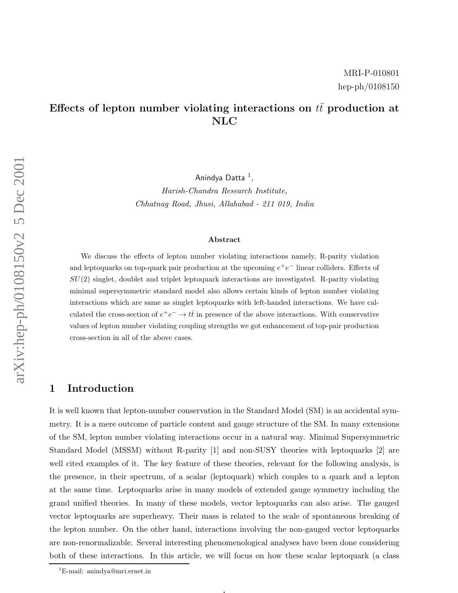# Effects of lepton number violating interactions on  $t\bar{t}$  production at NLC

Anindya Datta  $^1,$ 

Harish-Chandra Research Institute, Chhatnag Road, Jhusi, Allahabad - 211 019, India

#### Abstract

We discuss the effects of lepton number violating interactions namely, R-parity violation and leptoquarks on top-quark pair production at the upcoming  $e^+e^-$  linear colliders. Effects of  $SU(2)$  singlet, doublet and triplet leptoquark interactions are investigated. R-parity violating minimal supersymmetric standard model also allows certain kinds of lepton number violating interactions which are same as singlet leptoquarks with left-handed interactions. We have calculated the cross-section of  $e^+e^- \to t\bar{t}$  in presence of the above interactions. With conservative values of lepton number violating coupling strengths we got enhancement of top-pair production cross-section in all of the above cases.

### 1 Introduction

It is well known that lepton-number conservation in the Standard Model (SM) is an accidental symmetry. It is a mere outcome of particle content and gauge structure of the SM. In many extensions of the SM, lepton number violating interactions occur in a natural way. Minimal Supersymmetric Standard Model (MSSM) without R-parity [1] and non-SUSY theories with leptoquarks [2] are well cited examples of it. The key feature of these theories, relevant for the following analysis, is the presence, in their spectrum, of a scalar (leptoquark) which couples to a quark and a lepton at the same time. Leptoquarks arise in many models of extended gauge symmetry including the grand unified theories. In many of these models, vector leptoquarks can also arise. The gauged vector leptoquarks are superheavy. Their mass is related to the scale of spontaneous breaking of the lepton number. On the other hand, interactions involving the non-gauged vector leptoquarks are non-renormalizable. Several interesting phenomenological analyses have been done considering both of these interactions. In this article, we will focus on how these scalar leptoquark (a class

 $\mathbf{1}$ 

<sup>1</sup>E-mail: anindya@mri.ernet.in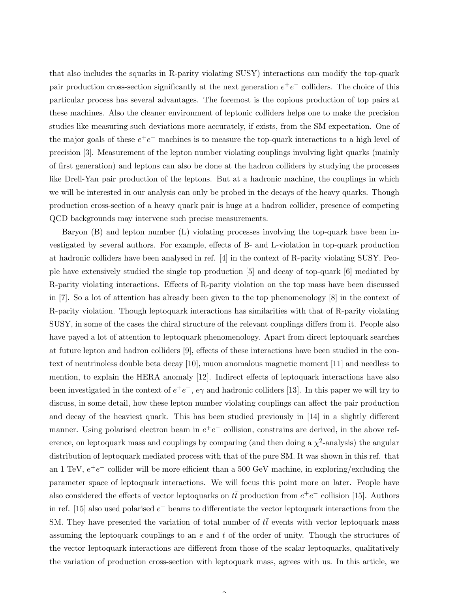that also includes the squarks in R-parity violating SUSY) interactions can modify the top-quark pair production cross-section significantly at the next generation  $e^+e^-$  colliders. The choice of this particular process has several advantages. The foremost is the copious production of top pairs at these machines. Also the cleaner environment of leptonic colliders helps one to make the precision studies like measuring such deviations more accurately, if exists, from the SM expectation. One of the major goals of these  $e^+e^-$  machines is to measure the top-quark interactions to a high level of precision [3]. Measurement of the lepton number violating couplings involving light quarks (mainly of first generation) and leptons can also be done at the hadron colliders by studying the processes like Drell-Yan pair production of the leptons. But at a hadronic machine, the couplings in which we will be interested in our analysis can only be probed in the decays of the heavy quarks. Though production cross-section of a heavy quark pair is huge at a hadron collider, presence of competing QCD backgrounds may intervene such precise measurements.

Baryon (B) and lepton number (L) violating processes involving the top-quark have been investigated by several authors. For example, effects of B- and L-violation in top-quark production at hadronic colliders have been analysed in ref. [4] in the context of R-parity violating SUSY. People have extensively studied the single top production [5] and decay of top-quark [6] mediated by R-parity violating interactions. Effects of R-parity violation on the top mass have been discussed in [7]. So a lot of attention has already been given to the top phenomenology [8] in the context of R-parity violation. Though leptoquark interactions has similarities with that of R-parity violating SUSY, in some of the cases the chiral structure of the relevant couplings differs from it. People also have payed a lot of attention to leptoquark phenomenology. Apart from direct leptoquark searches at future lepton and hadron colliders [9], effects of these interactions have been studied in the context of neutrinoless double beta decay [10], muon anomalous magnetic moment [11] and needless to mention, to explain the HERA anomaly [12]. Indirect effects of leptoquark interactions have also been investigated in the context of  $e^+e^-$ ,  $e\gamma$  and hadronic colliders [13]. In this paper we will try to discuss, in some detail, how these lepton number violating couplings can affect the pair production and decay of the heaviest quark. This has been studied previously in [14] in a slightly different manner. Using polarised electron beam in  $e^+e^-$  collision, constrains are derived, in the above reference, on leptoquark mass and couplings by comparing (and then doing a  $\chi^2$ -analysis) the angular distribution of leptoquark mediated process with that of the pure SM. It was shown in this ref. that an 1 TeV,  $e^+e^-$  collider will be more efficient than a 500 GeV machine, in exploring/excluding the parameter space of leptoquark interactions. We will focus this point more on later. People have also considered the effects of vector leptoquarks on  $t\bar{t}$  production from  $e^+e^-$  collision [15]. Authors in ref. [15] also used polarised  $e^-$  beams to differentiate the vector leptoquark interactions from the SM. They have presented the variation of total number of  $t\bar{t}$  events with vector leptoquark mass assuming the leptoquark couplings to an  $e$  and  $t$  of the order of unity. Though the structures of the vector leptoquark interactions are different from those of the scalar leptoquarks, qualitatively the variation of production cross-section with leptoquark mass, agrees with us. In this article, we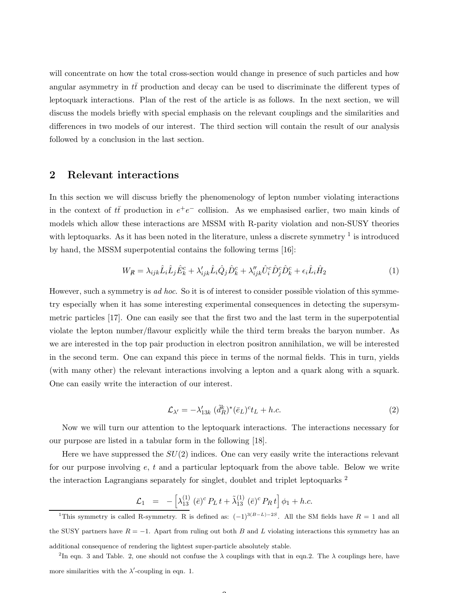will concentrate on how the total cross-section would change in presence of such particles and how angular asymmetry in  $t\bar{t}$  production and decay can be used to discriminate the different types of leptoquark interactions. Plan of the rest of the article is as follows. In the next section, we will discuss the models briefly with special emphasis on the relevant couplings and the similarities and differences in two models of our interest. The third section will contain the result of our analysis followed by a conclusion in the last section.

#### 2 Relevant interactions

In this section we will discuss briefly the phenomenology of lepton number violating interactions in the context of  $t\bar{t}$  production in  $e^+e^-$  collision. As we emphasised earlier, two main kinds of models which allow these interactions are MSSM with R-parity violation and non-SUSY theories with leptoquarks. As it has been noted in the literature, unless a discrete symmetry  $<sup>1</sup>$  is introduced</sup> by hand, the MSSM superpotential contains the following terms [16]:

$$
W_{\mathcal{R}} = \lambda_{ijk}\hat{L}_i\hat{L}_j\hat{E}_k^c + \lambda'_{ijk}\hat{L}_i\hat{Q}_j\hat{D}_k^c + \lambda''_{ijk}\hat{U}_i^c\hat{D}_j^c\hat{D}_k^c + \epsilon_i\hat{L}_i\hat{H}_2
$$
\n(1)

However, such a symmetry is *ad hoc.* So it is of interest to consider possible violation of this symmetry especially when it has some interesting experimental consequences in detecting the supersymmetric particles [17]. One can easily see that the first two and the last term in the superpotential violate the lepton number/flavour explicitly while the third term breaks the baryon number. As we are interested in the top pair production in electron positron annihilation, we will be interested in the second term. One can expand this piece in terms of the normal fields. This in turn, yields (with many other) the relevant interactions involving a lepton and a quark along with a squark. One can easily write the interaction of our interest.

$$
\mathcal{L}_{\lambda'} = -\lambda'_{13k} \left( \tilde{d}_R^k \right)^* (\bar{e}_L)^c t_L + h.c.
$$
\n
$$
(2)
$$

Now we will turn our attention to the leptoquark interactions. The interactions necessary for our purpose are listed in a tabular form in the following [18].

Here we have suppressed the  $SU(2)$  indices. One can very easily write the interactions relevant for our purpose involving  $e, t$  and a particular leptoquark from the above table. Below we write the interaction Lagrangians separately for singlet, doublet and triplet leptoquarks <sup>2</sup>

$$
\mathcal{L}_1 = -\left[\lambda_{13}^{(1)}\,(\bar{e})^c\,P_L\,t + \tilde{\lambda}_{13}^{(1)}\,(\bar{e})^c\,P_R\,t\right]\phi_1 + h.c.
$$

<sup>2</sup>In eqn. 3 and Table. 2, one should not confuse the  $\lambda$  couplings with that in eqn.2. The  $\lambda$  couplings here, have more similarities with the  $\lambda'$ -coupling in eqn. 1.

<sup>&</sup>lt;sup>1</sup>This symmetry is called R-symmetry. R is defined as:  $(-1)^{3(B-L)-2S}$ . All the SM fields have  $R = 1$  and all the SUSY partners have  $R = -1$ . Apart from ruling out both B and L violating interactions this symmetry has an additional consequence of rendering the lightest super-particle absolutely stable.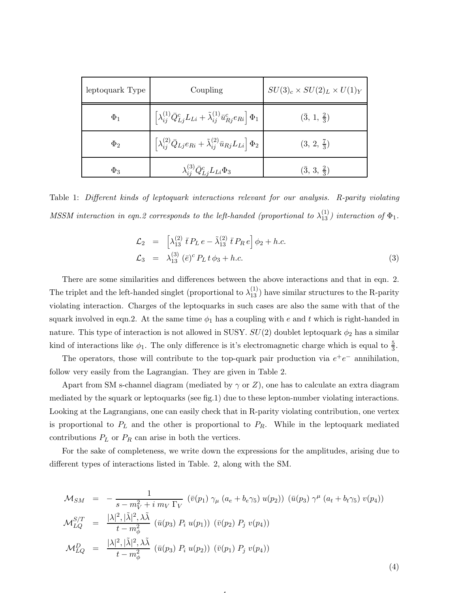| leptoquark Type | Coupling                                                                                                            | $SU(3)_c \times SU(2)_L \times U(1)_Y$ |
|-----------------|---------------------------------------------------------------------------------------------------------------------|----------------------------------------|
| $\Phi_1$        | $\left[\lambda_{ij}^{(1)}\bar{Q}_{Lj}^c L_{Li} + \tilde{\lambda}_{ij}^{(1)}\bar{u}_{Rj}^c e_{Ri}\right]\Phi_1\Big]$ | $(\bar{3}, 1, \frac{2}{3})$            |
| $\Phi_2$        | $\left[\lambda_{ij}^{(2)}\bar{Q}_{Lj}e_{Ri}+\tilde{\lambda}_{ij}^{(2)}\bar{u}_{Rj}L_{Li}\right]\Phi_{2}\; ,$        | $(3, 2, \frac{7}{3})$                  |
| $\Phi_3$        | $\lambda_{ij}^{(3)} \bar{Q}_{Li}^c L_{Li} \Phi_3$                                                                   | $(\bar{3}, 3, \frac{2}{3})$            |

Table 1: Different kinds of leptoquark interactions relevant for our analysis. R-parity violating MSSM interaction in eqn.2 corresponds to the left-handed (proportional to  $\lambda_{13}^{(1)}$ ) interaction of  $\Phi_1$ .

$$
\mathcal{L}_2 = \left[ \lambda_{13}^{(2)} \bar{t} P_L e - \tilde{\lambda}_{13}^{(2)} \bar{t} P_R e \right] \phi_2 + h.c.
$$
  
\n
$$
\mathcal{L}_3 = \lambda_{13}^{(3)} (\bar{e})^c P_L t \phi_3 + h.c.
$$
\n(3)

There are some similarities and differences between the above interactions and that in eqn. 2. The triplet and the left-handed singlet (proportional to  $\lambda_{13}^{(1)}$ ) have similar structures to the R-parity violating interaction. Charges of the leptoquarks in such cases are also the same with that of the squark involved in eqn.2. At the same time  $\phi_1$  has a coupling with e and t which is right-handed in nature. This type of interaction is not allowed in SUSY.  $SU(2)$  doublet leptoquark  $\phi_2$  has a similar kind of interactions like  $\phi_1$ . The only difference is it's electromagnetic charge which is equal to  $\frac{5}{3}$ .

The operators, those will contribute to the top-quark pair production via  $e^+e^-$  annihilation, follow very easily from the Lagrangian. They are given in Table 2.

Apart from SM s-channel diagram (mediated by  $\gamma$  or Z), one has to calculate an extra diagram mediated by the squark or leptoquarks (see fig.1) due to these lepton-number violating interactions. Looking at the Lagrangians, one can easily check that in R-parity violating contribution, one vertex is proportional to  $P<sub>L</sub>$  and the other is proportional to  $P<sub>R</sub>$ . While in the leptoquark mediated contributions  $P_L$  or  $P_R$  can arise in both the vertices.

For the sake of completeness, we write down the expressions for the amplitudes, arising due to different types of interactions listed in Table. 2, along with the SM.

$$
\mathcal{M}_{SM} = -\frac{1}{s - m_V^2 + i \, m_V \, \Gamma_V} \left( \bar{v}(p_1) \, \gamma_\mu \left( a_e + b_e \gamma_5 \right) u(p_2) \right) \left( \bar{u}(p_3) \, \gamma^\mu \left( a_t + b_t \gamma_5 \right) v(p_4) \right)
$$
\n
$$
\mathcal{M}_{LQ}^{S/T} = \frac{|\lambda|^2, |\tilde{\lambda}|^2, \lambda \tilde{\lambda}}{t - m_\phi^2} \left( \bar{u}(p_3) \, P_i \, u(p_1) \right) \left( \bar{v}(p_2) \, P_j \, v(p_4) \right)
$$
\n
$$
\mathcal{M}_{LQ}^D = \frac{|\lambda|^2, |\tilde{\lambda}|^2, \lambda \tilde{\lambda}}{t - m_\phi^2} \left( \bar{u}(p_3) \, P_i \, u(p_2) \right) \left( \bar{v}(p_1) \, P_j \, v(p_4) \right)
$$

4

(4)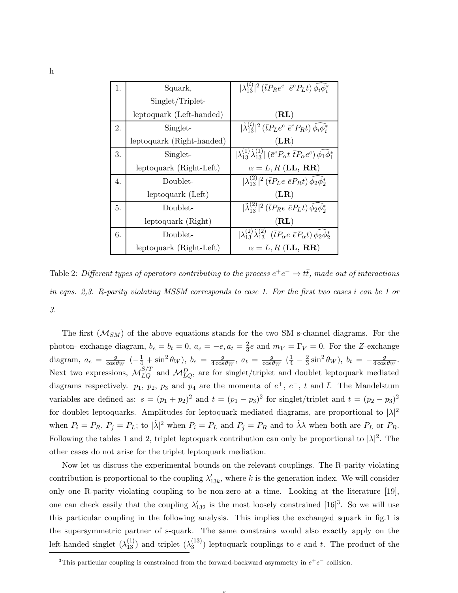| 1. | Squark,                   | $ \lambda_{13}^{(i)} ^2$ ( $\bar{t}P_{R}e^c \bar{e}^c P_{L}t$ ) $\phi_i \phi_i^*$                                         |
|----|---------------------------|---------------------------------------------------------------------------------------------------------------------------|
|    | Singlet/Triplet-          |                                                                                                                           |
|    | leptoquark (Left-handed)  | (RL)                                                                                                                      |
| 2. | Singlet-                  | $ \tilde{\lambda}_{13}^{(i)} ^2$ ( $\bar{t}P_Le^c \bar{e}^c P_R t$ ) $\bar{\phi}_i \bar{\phi}_i^*$                        |
|    | leptoquark (Right-handed) | $(\mathbf{LR})$                                                                                                           |
| 3. | Singlet-                  | $ \lambda_{13}^{(1)}\tilde{\lambda}_{13}^{(1)} $ ( $\bar{e}^cP_\alpha t \bar{t}P_\alpha e^c$ ) $\phi_1\phi_1^*$           |
|    | leptoquark (Right-Left)   | $\alpha = L, R$ (LL, RR)                                                                                                  |
| 4. | Doublet-                  | $ \lambda_{13}^{(2)} ^2$ ( <i>tP<sub>L</sub>e eP<sub>R</sub>t</i> ) $\bar{\phi_2} \bar{\phi_2}^*$                         |
|    | leptoquark (Left)         | $(\mathbf{LR})$                                                                                                           |
| 5. | Doublet-                  | $ \tilde{\lambda}_{13}^{(2)} ^2$ ( <i>tP<sub>R</sub>e</i> $\bar{e}P_L t$ ) $\bar{\phi_2} \bar{\phi_2}^*$                  |
|    | leptoquark (Right)        | (RL)                                                                                                                      |
| 6. | Doublet-                  | $ \lambda_{13}^{(2)}\tilde{\lambda}_{13}^{(2)} $ ( $\bar{t}P_{\alpha}e \bar{e}P_{\alpha}t$ ) $\bar{\phi_2}\bar{\phi_2}^*$ |
|    | leptoquark (Right-Left)   | $\alpha = L, R$ (LL, RR)                                                                                                  |

Table 2: Different types of operators contributing to the process  $e^+e^-\rightarrow t\bar{t}$ , made out of interactions in eqns. 2,3. R-parity violating MSSM corresponds to case 1. For the first two cases i can be 1 or 3.

The first  $(M_{SM})$  of the above equations stands for the two SM s-channel diagrams. For the photon- exchange diagram,  $b_e = b_t = 0$ ,  $a_e = -e$ ,  $a_t = \frac{2}{3}$  $\frac{2}{3}e$  and  $m_V = \Gamma_V = 0$ . For the Z-exchange diagram,  $a_e = \frac{g}{\cos \theta}$  $\frac{g}{\cos\theta_W}$   $\left(-\frac{1}{4} + \sin^2\theta_W\right), b_e = \frac{g}{4\cos\theta_W}$  $\frac{g}{4\cos\theta_W}$ ,  $a_t = \frac{g}{\cos\theta_W}$  $\frac{g}{\cos\theta_W}$   $(\frac{1}{4} - \frac{2}{3}\sin^2\theta_W)$ ,  $b_t = -\frac{g}{4\cos\theta_W}$  $\frac{g}{4\cos\theta_W}$ . Next two expressions,  $M_{LQ}^{S/T}$  and  $M_{LQ}^D$ , are for singlet/triplet and doublet leptoquark mediated diagrams respectively.  $p_1$ ,  $p_2$ ,  $p_3$  and  $p_4$  are the momenta of  $e^+$ ,  $e^-$ ,  $t$  and  $\bar{t}$ . The Mandelstum variables are defined as:  $s = (p_1 + p_2)^2$  and  $t = (p_1 - p_3)^2$  for singlet/triplet and  $t = (p_2 - p_3)^2$ for doublet leptoquarks. Amplitudes for leptoquark mediated diagrams, are proportional to  $|\lambda|^2$ when  $P_i = P_R$ ,  $P_j = P_L$ ; to  $|\tilde{\lambda}|^2$  when  $P_i = P_L$  and  $P_j = P_R$  and to  $\tilde{\lambda}\lambda$  when both are  $P_L$  or  $P_R$ . Following the tables 1 and 2, triplet leptoquark contribution can only be proportional to  $|\lambda|^2$ . The other cases do not arise for the triplet leptoquark mediation.

Now let us discuss the experimental bounds on the relevant couplings. The R-parity violating contribution is proportional to the coupling  $\lambda'_{13k}$ , where k is the generation index. We will consider only one R-parity violating coupling to be non-zero at a time. Looking at the literature [19], one can check easily that the coupling  $\lambda'_{132}$  is the most loosely constrained [16]<sup>3</sup>. So we will use this particular coupling in the following analysis. This implies the exchanged squark in fig.1 is the supersymmetric partner of s-quark. The same constrains would also exactly apply on the left-handed singlet  $(\lambda_{13}^{(1)})$  and triplet  $(\lambda_3^{(13)})$  $\binom{13}{3}$  leptoquark couplings to e and t. The product of the

 $\overline{ }$ 

<sup>&</sup>lt;sup>3</sup>This particular coupling is constrained from the forward-backward asymmetry in  $e^+e^-$  collision.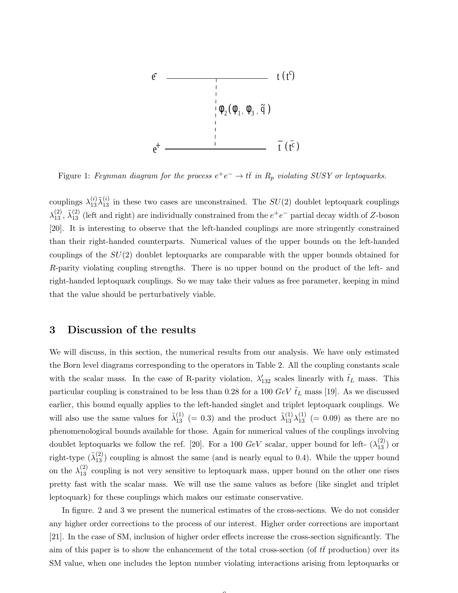

Figure 1: Feynman diagram for the process  $e^+e^- \to t\bar{t}$  in  $R_p$  violating SUSY or leptoquarks.

couplings  $\lambda_{13}^{(i)}\tilde{\lambda}_{13}^{(i)}$  in these two cases are unconstrained. The  $SU(2)$  doublet leptoquark couplings  $\lambda_{13}^{(2)}$ ,  $\tilde{\lambda}_{13}^{(2)}$  (left and right) are individually constrained from the  $e^+e^-$  partial decay width of Z-boson [20]. It is interesting to observe that the left-handed couplings are more stringently constrained than their right-handed counterparts. Numerical values of the upper bounds on the left-handed couplings of the  $SU(2)$  doublet leptoquarks are comparable with the upper bounds obtained for R-parity violating coupling strengths. There is no upper bound on the product of the left- and right-handed leptoquark couplings. So we may take their values as free parameter, keeping in mind that the value should be perturbatively viable.

## 3 Discussion of the results

We will discuss, in this section, the numerical results from our analysis. We have only estimated the Born level diagrams corresponding to the operators in Table 2. All the coupling constants scale with the scalar mass. In the case of R-parity violation,  $\lambda'_{132}$  scales linearly with  $\tilde{t}_L$  mass. This particular coupling is constrained to be less than 0.28 for a 100  $GeV \tilde{t}_L$  mass [19]. As we discussed earlier, this bound equally applies to the left-handed singlet and triplet leptoquark couplings. We will also use the same values for  $\tilde{\lambda}_{13}^{(1)}$  (= 0.3) and the product  $\tilde{\lambda}_{13}^{(1)}\lambda_{13}^{(1)}$  (= 0.09) as there are no phenomenological bounds available for those. Again for numerical values of the couplings involving doublet leptoquarks we follow the ref. [20]. For a 100  $GeV$  scalar, upper bound for left-  $(\lambda_{13}^{(2)})$  or right-type  $(\tilde{\lambda}_{13}^{(2)})$  coupling is almost the same (and is nearly equal to 0.4). While the upper bound on the  $\lambda_{13}^{(2)}$  coupling is not very sensitive to leptoquark mass, upper bound on the other one rises pretty fast with the scalar mass. We will use the same values as before (like singlet and triplet leptoquark) for these couplings which makes our estimate conservative.

In figure. 2 and 3 we present the numerical estimates of the cross-sections. We do not consider any higher order corrections to the process of our interest. Higher order corrections are important [21]. In the case of SM, inclusion of higher order effects increase the cross-section significantly. The aim of this paper is to show the enhancement of the total cross-section (of  $t\bar{t}$  production) over its SM value, when one includes the lepton number violating interactions arising from leptoquarks or

 $\sqrt{2}$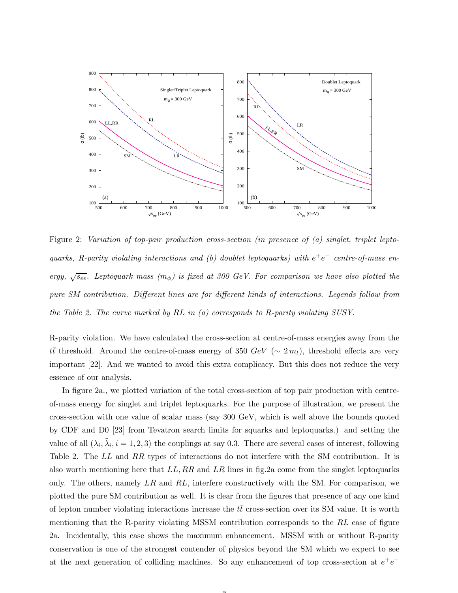

Figure 2: Variation of top-pair production cross-section (in presence of (a) singlet, triplet leptoquarks, R-parity violating interactions and (b) doublet leptoquarks) with  $e^+e^-$  centre-of-mass energy,  $\sqrt{s_{ee}}$ . Leptoquark mass  $(m_{\phi})$  is fixed at 300 GeV. For comparison we have also plotted the pure SM contribution. Different lines are for different kinds of interactions. Legends follow from the Table 2. The curve marked by RL in (a) corresponds to R-parity violating SUSY.

R-parity violation. We have calculated the cross-section at centre-of-mass energies away from the  $t\bar{t}$  threshold. Around the centre-of-mass energy of 350 GeV ( $\sim 2 m_t$ ), threshold effects are very important [22]. And we wanted to avoid this extra complicacy. But this does not reduce the very essence of our analysis.

In figure 2a., we plotted variation of the total cross-section of top pair production with centreof-mass energy for singlet and triplet leptoquarks. For the purpose of illustration, we present the cross-section with one value of scalar mass (say 300 GeV, which is well above the bounds quoted by CDF and D0 [23] from Tevatron search limits for squarks and leptoquarks.) and setting the value of all  $(\lambda_i, \tilde{\lambda}_i, i = 1, 2, 3)$  the couplings at say 0.3. There are several cases of interest, following Table 2. The LL and RR types of interactions do not interfere with the SM contribution. It is also worth mentioning here that  $LL, RR$  and  $LR$  lines in fig. 2a come from the singlet leptoquarks only. The others, namely  $LR$  and  $RL$ , interfere constructively with the SM. For comparison, we plotted the pure SM contribution as well. It is clear from the figures that presence of any one kind of lepton number violating interactions increase the  $t\bar{t}$  cross-section over its SM value. It is worth mentioning that the R-parity violating MSSM contribution corresponds to the RL case of figure 2a. Incidentally, this case shows the maximum enhancement. MSSM with or without R-parity conservation is one of the strongest contender of physics beyond the SM which we expect to see at the next generation of colliding machines. So any enhancement of top cross-section at  $e^+e^-$ 

 $\rightarrow$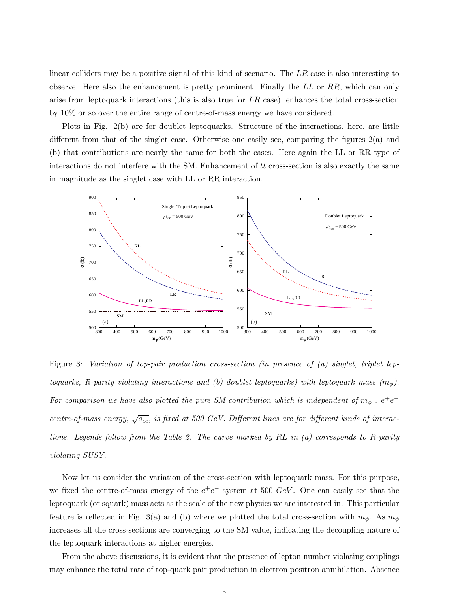linear colliders may be a positive signal of this kind of scenario. The  $LR$  case is also interesting to observe. Here also the enhancement is pretty prominent. Finally the LL or RR, which can only arise from leptoquark interactions (this is also true for  $LR$  case), enhances the total cross-section by 10% or so over the entire range of centre-of-mass energy we have considered.

Plots in Fig. 2(b) are for doublet leptoquarks. Structure of the interactions, here, are little different from that of the singlet case. Otherwise one easily see, comparing the figures 2(a) and (b) that contributions are nearly the same for both the cases. Here again the LL or RR type of interactions do not interfere with the SM. Enhancement of  $t\bar{t}$  cross-section is also exactly the same in magnitude as the singlet case with LL or RR interaction.



Figure 3: Variation of top-pair production cross-section (in presence of (a) singlet, triplet leptoquarks, R-parity violating interactions and (b) doublet leptoquarks) with leptoquark mass  $(m_{\phi})$ . For comparison we have also plotted the pure SM contribution which is independent of  $m_{\phi}$  .  $e^+e^$ centre-of-mass energy,  $\sqrt{s_{ee}}$ , is fixed at 500 GeV. Different lines are for different kinds of interactions. Legends follow from the Table 2. The curve marked by RL in (a) corresponds to R-parity violating SUSY.

Now let us consider the variation of the cross-section with leptoquark mass. For this purpose, we fixed the centre-of-mass energy of the  $e^+e^-$  system at 500 GeV. One can easily see that the leptoquark (or squark) mass acts as the scale of the new physics we are interested in. This particular feature is reflected in Fig. 3(a) and (b) where we plotted the total cross-section with  $m_{\phi}$ . As  $m_{\phi}$ increases all the cross-sections are converging to the SM value, indicating the decoupling nature of the leptoquark interactions at higher energies.

From the above discussions, it is evident that the presence of lepton number violating couplings may enhance the total rate of top-quark pair production in electron positron annihilation. Absence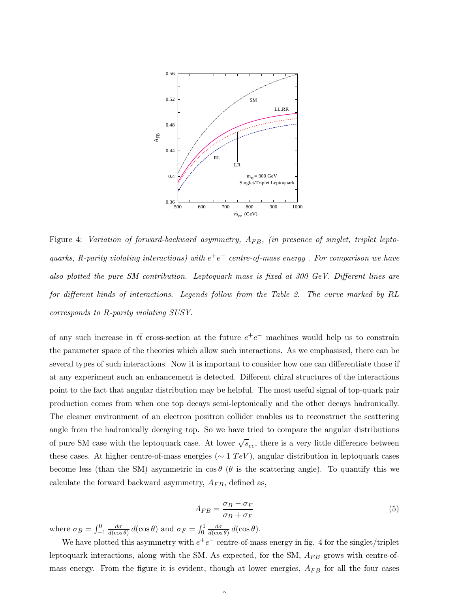

Figure 4: Variation of forward-backward asymmetry,  $A_{FB}$ , (in presence of singlet, triplet leptoquarks, R-parity violating interactions) with  $e^+e^-$  centre-of-mass energy. For comparison we have also plotted the pure SM contribution. Leptoquark mass is fixed at 300 GeV. Different lines are for different kinds of interactions. Legends follow from the Table 2. The curve marked by RL corresponds to R-parity violating SUSY.

of any such increase in  $t\bar{t}$  cross-section at the future  $e^+e^-$  machines would help us to constrain the parameter space of the theories which allow such interactions. As we emphasised, there can be several types of such interactions. Now it is important to consider how one can differentiate those if at any experiment such an enhancement is detected. Different chiral structures of the interactions point to the fact that angular distribution may be helpful. The most useful signal of top-quark pair production comes from when one top decays semi-leptonically and the other decays hadronically. The cleaner environment of an electron positron collider enables us to reconstruct the scattering angle from the hadronically decaying top. So we have tried to compare the angular distributions of pure SM case with the leptoquark case. At lower  $\sqrt{s}_{ee}$ , there is a very little difference between these cases. At higher centre-of-mass energies ( $\sim 1 \; TeV$ ), angular distribution in leptoquark cases become less (than the SM) asymmetric in  $\cos \theta$  ( $\theta$  is the scattering angle). To quantify this we calculate the forward backward asymmetry,  $A_{FB}$ , defined as,

$$
A_{FB} = \frac{\sigma_B - \sigma_F}{\sigma_B + \sigma_F} \tag{5}
$$

where  $\sigma_B = \int_{-1}^0 \frac{d\sigma}{d(\cos \theta)}$  $\frac{d\sigma}{d(\cos\theta)} d(\cos\theta)$  and  $\sigma_F = \int_0^1 \frac{d\sigma}{d(\cos\theta)}$  $\frac{d\sigma}{d(\cos\theta)} d(\cos\theta).$ 

We have plotted this asymmetry with  $e^+e^-$  centre-of-mass energy in fig. 4 for the singlet/triplet leptoquark interactions, along with the SM. As expected, for the SM,  $A_{FB}$  grows with centre-ofmass energy. From the figure it is evident, though at lower energies,  $A_{FB}$  for all the four cases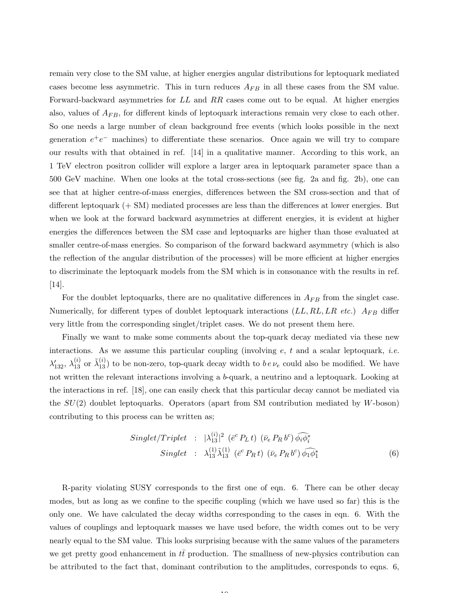remain very close to the SM value, at higher energies angular distributions for leptoquark mediated cases become less asymmetric. This in turn reduces  $A_{FB}$  in all these cases from the SM value. Forward-backward asymmetries for LL and RR cases come out to be equal. At higher energies also, values of  $A_{FB}$ , for different kinds of leptoquark interactions remain very close to each other. So one needs a large number of clean background free events (which looks possible in the next generation  $e^+e^-$  machines) to differentiate these scenarios. Once again we will try to compare our results with that obtained in ref. [14] in a qualitative manner. According to this work, an 1 TeV electron positron collider will explore a larger area in leptoquark parameter space than a 500 GeV machine. When one looks at the total cross-sections (see fig. 2a and fig. 2b), one can see that at higher centre-of-mass energies, differences between the SM cross-section and that of different leptoquark (+ SM) mediated processes are less than the differences at lower energies. But when we look at the forward backward asymmetries at different energies, it is evident at higher energies the differences between the SM case and leptoquarks are higher than those evaluated at smaller centre-of-mass energies. So comparison of the forward backward asymmetry (which is also the reflection of the angular distribution of the processes) will be more efficient at higher energies to discriminate the leptoquark models from the SM which is in consonance with the results in ref. [14].

For the doublet leptoquarks, there are no qualitative differences in  $A_{FB}$  from the singlet case. Numerically, for different types of doublet leptoquark interactions  $(LL, RL, LR, etc.)$   $A_{FB}$  differ very little from the corresponding singlet/triplet cases. We do not present them here.

Finally we want to make some comments about the top-quark decay mediated via these new interactions. As we assume this particular coupling (involving  $e, t$  and a scalar leptoquark, *i.e.*  $\lambda'_{132}, \lambda_{13}^{(i)}$  or  $\tilde{\lambda}_{13}^{(i)}$  to be non-zero, top-quark decay width to  $b e \nu_e$  could also be modified. We have not written the relevant interactions involving a b-quark, a neutrino and a leptoquark. Looking at the interactions in ref. [18], one can easily check that this particular decay cannot be mediated via the  $SU(2)$  doublet leptoquarks. Operators (apart from SM contribution mediated by W-boson) contributing to this process can be written as;

$$
Singlet/Triplet : |\lambda_{13}^{(i)}|^2 \left( \bar{e}^c P_L t \right) \left( \bar{\nu}_e P_R b^c \right) \widehat{\phi_i \phi_i^*}
$$
  
 
$$
Singlet : \lambda_{13}^{(1)} \tilde{\lambda}_{13}^{(1)} \left( \bar{e}^c P_R t \right) \left( \bar{\nu}_e P_R b^c \right) \widehat{\phi_1 \phi_1^*}
$$
 (6)

R-parity violating SUSY corresponds to the first one of eqn. 6. There can be other decay modes, but as long as we confine to the specific coupling (which we have used so far) this is the only one. We have calculated the decay widths corresponding to the cases in eqn. 6. With the values of couplings and leptoquark masses we have used before, the width comes out to be very nearly equal to the SM value. This looks surprising because with the same values of the parameters we get pretty good enhancement in  $t\bar{t}$  production. The smallness of new-physics contribution can be attributed to the fact that, dominant contribution to the amplitudes, corresponds to eqns. 6,

 $\overline{10}$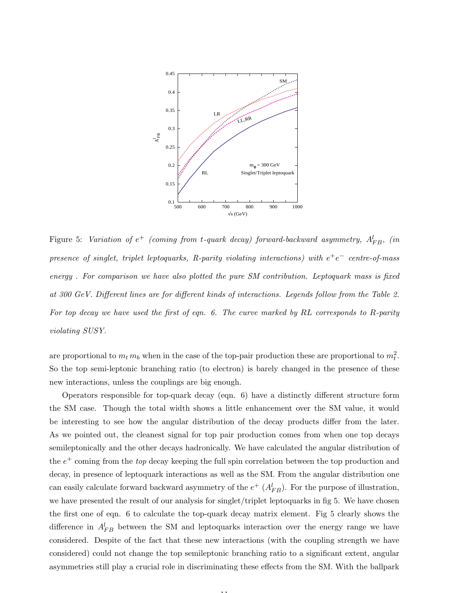

Figure 5: Variation of  $e^+$  (coming from t-quark decay) forward-backward asymmetry,  $A_{FB}^l$ , (in presence of singlet, triplet leptoquarks, R-parity violating interactions) with  $e^+e^-$  centre-of-mass energy . For comparison we have also plotted the pure SM contribution. Leptoquark mass is fixed at 300 GeV. Different lines are for different kinds of interactions. Legends follow from the Table 2. For top decay we have used the first of eqn. 6. The curve marked by RL corresponds to R-parity violating SUSY.

are proportional to  $m_t m_b$  when in the case of the top-pair production these are proportional to  $m_t^2$ . So the top semi-leptonic branching ratio (to electron) is barely changed in the presence of these new interactions, unless the couplings are big enough.

Operators responsible for top-quark decay (eqn. 6) have a distinctly different structure form the SM case. Though the total width shows a little enhancement over the SM value, it would be interesting to see how the angular distribution of the decay products differ from the later. As we pointed out, the cleanest signal for top pair production comes from when one top decays semileptonically and the other decays hadronically. We have calculated the angular distribution of the  $e^+$  coming from the *top* decay keeping the full spin correlation between the top production and decay, in presence of leptoquark interactions as well as the SM. From the angular distribution one can easily calculate forward backward asymmetry of the  $e^+$   $(A_{FB}^l)$ . For the purpose of illustration, we have presented the result of our analysis for singlet/triplet leptoquarks in fig 5. We have chosen the first one of eqn. 6 to calculate the top-quark decay matrix element. Fig 5 clearly shows the difference in  $A_{FB}^l$  between the SM and leptoquarks interaction over the energy range we have considered. Despite of the fact that these new interactions (with the coupling strength we have considered) could not change the top semileptonic branching ratio to a significant extent, angular asymmetries still play a crucial role in discriminating these effects from the SM. With the ballpark

11.11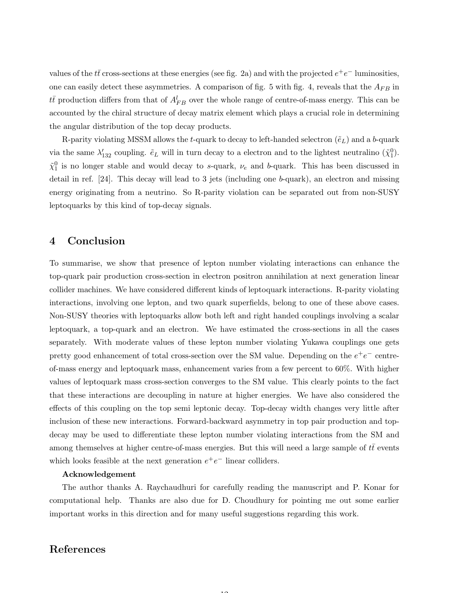values of the  $t\bar{t}$  cross-sections at these energies (see fig. 2a) and with the projected  $e^+e^-$  luminosities, one can easily detect these asymmetries. A comparison of fig. 5 with fig. 4, reveals that the  $A_{FB}$  in  $t\bar{t}$  production differs from that of  $A_{FB}^l$  over the whole range of centre-of-mass energy. This can be accounted by the chiral structure of decay matrix element which plays a crucial role in determining the angular distribution of the top decay products.

R-parity violating MSSM allows the t-quark to decay to left-handed selectron  $(\tilde{e}_L)$  and a b-quark via the same  $\lambda'_{132}$  coupling.  $\tilde{e}_L$  will in turn decay to a electron and to the lightest neutralino  $(\tilde{\chi}^0_1)$ .  $\tilde{\chi}_1^0$  is no longer stable and would decay to s-quark,  $\nu_e$  and b-quark. This has been discussed in detail in ref. [24]. This decay will lead to 3 jets (including one b-quark), an electron and missing energy originating from a neutrino. So R-parity violation can be separated out from non-SUSY leptoquarks by this kind of top-decay signals.

## 4 Conclusion

To summarise, we show that presence of lepton number violating interactions can enhance the top-quark pair production cross-section in electron positron annihilation at next generation linear collider machines. We have considered different kinds of leptoquark interactions. R-parity violating interactions, involving one lepton, and two quark superfields, belong to one of these above cases. Non-SUSY theories with leptoquarks allow both left and right handed couplings involving a scalar leptoquark, a top-quark and an electron. We have estimated the cross-sections in all the cases separately. With moderate values of these lepton number violating Yukawa couplings one gets pretty good enhancement of total cross-section over the SM value. Depending on the  $e^+e^-$  centreof-mass energy and leptoquark mass, enhancement varies from a few percent to 60%. With higher values of leptoquark mass cross-section converges to the SM value. This clearly points to the fact that these interactions are decoupling in nature at higher energies. We have also considered the effects of this coupling on the top semi leptonic decay. Top-decay width changes very little after inclusion of these new interactions. Forward-backward asymmetry in top pair production and topdecay may be used to differentiate these lepton number violating interactions from the SM and among themselves at higher centre-of-mass energies. But this will need a large sample of  $t\bar{t}$  events which looks feasible at the next generation  $e^+e^-$  linear colliders.

#### Acknowledgement

The author thanks A. Raychaudhuri for carefully reading the manuscript and P. Konar for computational help. Thanks are also due for D. Choudhury for pointing me out some earlier important works in this direction and for many useful suggestions regarding this work.

 $\overline{1}$ 

# References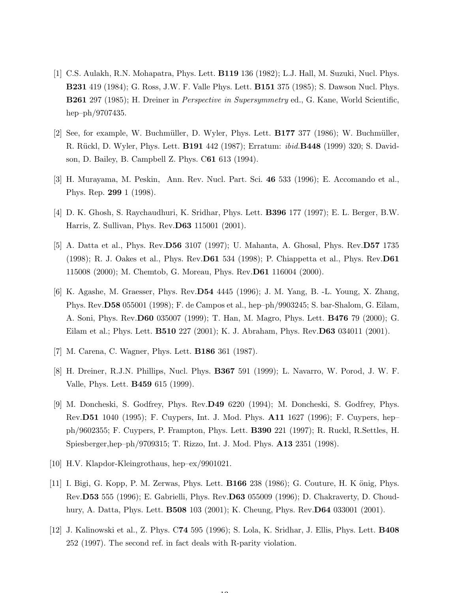- [1] C.S. Aulakh, R.N. Mohapatra, Phys. Lett. B119 136 (1982); L.J. Hall, M. Suzuki, Nucl. Phys. B231 419 (1984); G. Ross, J.W. F. Valle Phys. Lett. B151 375 (1985); S. Dawson Nucl. Phys. B261 297 (1985); H. Dreiner in Perspective in Supersymmetry ed., G. Kane, World Scientific, hep–ph/9707435.
- [2] See, for example, W. Buchmüller, D. Wyler, Phys. Lett. **B177** 377 (1986); W. Buchmüller, R. Rückl, D. Wyler, Phys. Lett. **B191** 442 (1987); Erratum: *ibid.***B448** (1999) 320; S. Davidson, D. Bailey, B. Campbell Z. Phys. C61 613 (1994).
- [3] H. Murayama, M. Peskin, Ann. Rev. Nucl. Part. Sci. 46 533 (1996); E. Accomando et al., Phys. Rep. 299 1 (1998).
- [4] D. K. Ghosh, S. Raychaudhuri, K. Sridhar, Phys. Lett. B396 177 (1997); E. L. Berger, B.W. Harris, Z. Sullivan, Phys. Rev.D63 115001 (2001).
- [5] A. Datta et al., Phys. Rev.D56 3107 (1997); U. Mahanta, A. Ghosal, Phys. Rev.D57 1735 (1998); R. J. Oakes et al., Phys. Rev.D61 534 (1998); P. Chiappetta et al., Phys. Rev.D61 115008 (2000); M. Chemtob, G. Moreau, Phys. Rev.D61 116004 (2000).
- [6] K. Agashe, M. Graesser, Phys. Rev.D54 4445 (1996); J. M. Yang, B. -L. Young, X. Zhang, Phys. Rev.D58 055001 (1998); F. de Campos et al., hep–ph/9903245; S. bar-Shalom, G. Eilam, A. Soni, Phys. Rev.D60 035007 (1999); T. Han, M. Magro, Phys. Lett. B476 79 (2000); G. Eilam et al.; Phys. Lett. B510 227 (2001); K. J. Abraham, Phys. Rev.D63 034011 (2001).
- [7] M. Carena, C. Wagner, Phys. Lett. B186 361 (1987).
- [8] H. Dreiner, R.J.N. Phillips, Nucl. Phys. B367 591 (1999); L. Navarro, W. Porod, J. W. F. Valle, Phys. Lett. B459 615 (1999).
- [9] M. Doncheski, S. Godfrey, Phys. Rev.D49 6220 (1994); M. Doncheski, S. Godfrey, Phys. Rev.D51 1040 (1995); F. Cuypers, Int. J. Mod. Phys. A11 1627 (1996); F. Cuypers, hep– ph/9602355; F. Cuypers, P. Frampton, Phys. Lett. B390 221 (1997); R. Ruckl, R.Settles, H. Spiesberger,hep–ph/9709315; T. Rizzo, Int. J. Mod. Phys. A13 2351 (1998).
- [10] H.V. Klapdor-Kleingrothaus, hep–ex/9901021.
- [11] I. Bigi, G. Kopp, P. M. Zerwas, Phys. Lett. **B166** 238 (1986); G. Couture, H. K önig, Phys. Rev.D53 555 (1996); E. Gabrielli, Phys. Rev.D63 055009 (1996); D. Chakraverty, D. Choudhury, A. Datta, Phys. Lett. B508 103 (2001); K. Cheung, Phys. Rev.D64 033001 (2001).
- [12] J. Kalinowski et al., Z. Phys. C74 595 (1996); S. Lola, K. Sridhar, J. Ellis, Phys. Lett. B408 252 (1997). The second ref. in fact deals with R-parity violation.

10